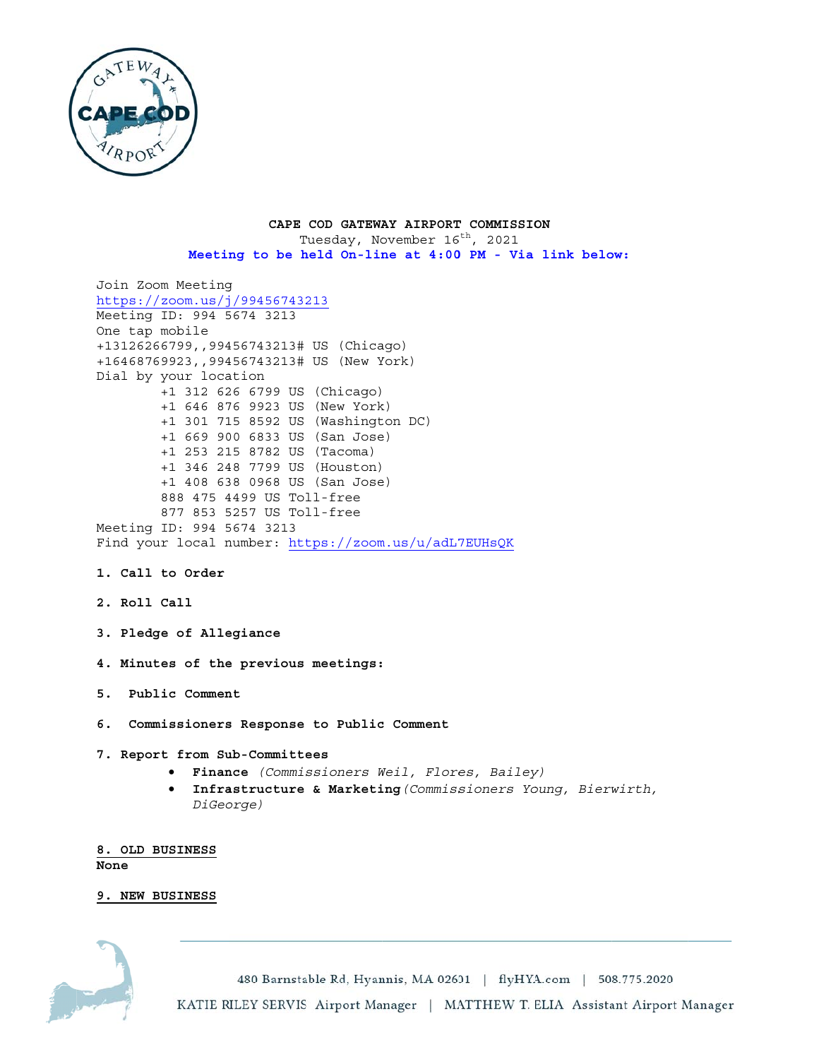

## CAPE COD GATEWAY AIRPORT COMMISSION Tuesday, November 16<sup>th</sup>, 2021 Meeting to be held On-line at 4:00 PM - Via link below:

```
Join Zoom Meeting
https://zoom.us/j/99456743213Meeting ID: 994 5674 3213
One tap mobile
+13126266799,,99456743213# US (Chicago)
+16468769923,,99456743213# US (New York)
Dial by your location
        +1 312 626 6799 US (Chicago)
        +1 646 876 9923 US (New York)
        +1 301 715 8592 US (Washington DC)
        +1 669 900 6833 US (San Jose)
        +1 253 215 8782 US (Tacoma)
        +1 346 248 7799 US (Houston)
        +1 408 638 0968 US (San Jose)
        888 475 4499 US Toll-free
        877 853 5257 US Toll-free
Meeting ID: 994 5674 3213
Find your local number: https://zoom.us/u/adL7EUHsQK
```
- 1. Call to Order
- 2. Roll Call
- 3. Pledge of Allegiance
- 4. Minutes of the previous meetings:
- 5. Public Comment
- 6. Commissioners Response to Public Comment
- 7. Report from Sub-Committees
	- · Finance (Commissioners Weil, Flores, Bailey)
	- Infrastructure & Marketing (Commissioners Young, Bierwirth,  $\bullet$ DiGeorge)

8. OLD BUSINESS None

# 9. NEW BUSINESS

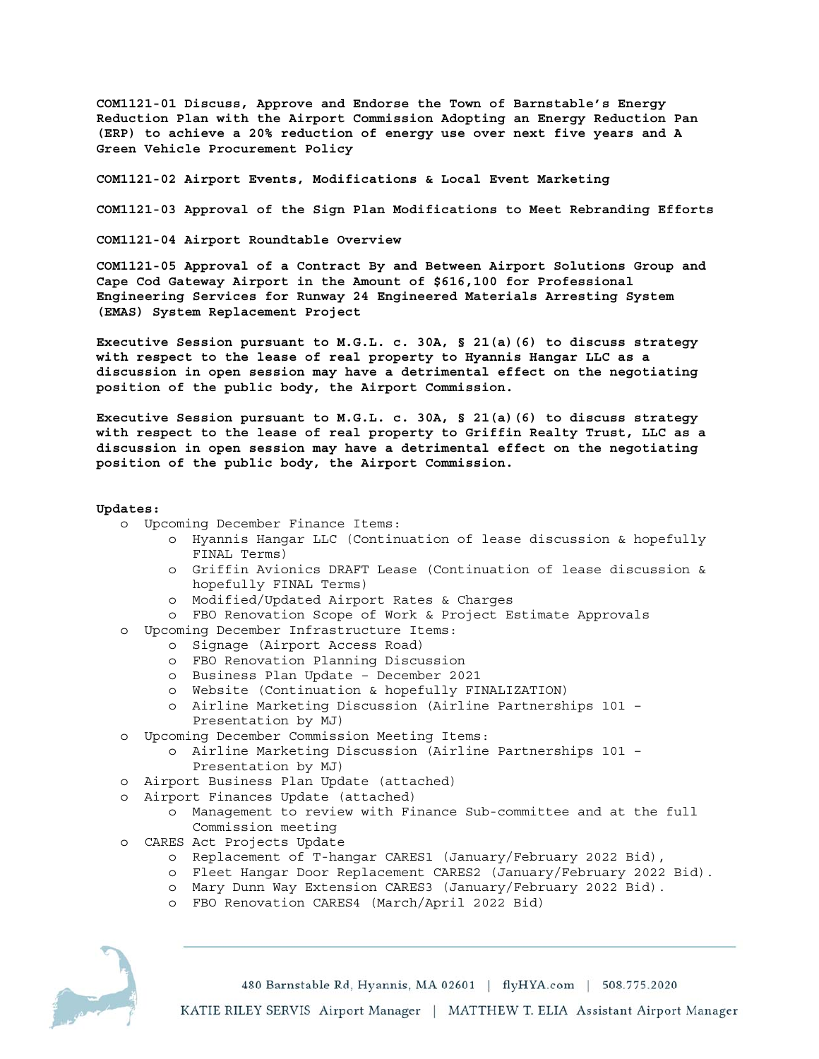**COM1121-01 Discuss, Approve and Endorse the Town of Barnstable's Energy Reduction Plan with the Airport Commission Adopting an Energy Reduction Pan (ERP) to achieve a 20% reduction of energy use over next five years and A Green Vehicle Procurement Policy** 

**COM1121-02 Airport Events, Modifications & Local Event Marketing** 

**COM1121-03 Approval of the Sign Plan Modifications to Meet Rebranding Efforts** 

**COM1121-04 Airport Roundtable Overview** 

**COM1121-05 Approval of a Contract By and Between Airport Solutions Group and Cape Cod Gateway Airport in the Amount of \$616,100 for Professional Engineering Services for Runway 24 Engineered Materials Arresting System (EMAS) System Replacement Project** 

**Executive Session pursuant to M.G.L. c. 30A, § 21(a)(6) to discuss strategy with respect to the lease of real property to Hyannis Hangar LLC as a discussion in open session may have a detrimental effect on the negotiating position of the public body, the Airport Commission.** 

**Executive Session pursuant to M.G.L. c. 30A, § 21(a)(6) to discuss strategy with respect to the lease of real property to Griffin Realty Trust, LLC as a discussion in open session may have a detrimental effect on the negotiating position of the public body, the Airport Commission.** 

## **Updates:**

- o Upcoming December Finance Items:
	- o Hyannis Hangar LLC (Continuation of lease discussion & hopefully FINAL Terms)
	- o Griffin Avionics DRAFT Lease (Continuation of lease discussion & hopefully FINAL Terms)
	- o Modified/Updated Airport Rates & Charges
	- o FBO Renovation Scope of Work & Project Estimate Approvals
- o Upcoming December Infrastructure Items:
	- o Signage (Airport Access Road)
	- o FBO Renovation Planning Discussion
	- o Business Plan Update December 2021
	- o Website (Continuation & hopefully FINALIZATION)
	- o Airline Marketing Discussion (Airline Partnerships 101 Presentation by MJ)
- o Upcoming December Commission Meeting Items:
	- o Airline Marketing Discussion (Airline Partnerships 101 Presentation by MJ)
- o Airport Business Plan Update (attached)
- o Airport Finances Update (attached)
	- o Management to review with Finance Sub-committee and at the full Commission meeting
- o CARES Act Projects Update
	- o Replacement of T-hangar CARES1 (January/February 2022 Bid),
	- o Fleet Hangar Door Replacement CARES2 (January/February 2022 Bid).
	- o Mary Dunn Way Extension CARES3 (January/February 2022 Bid).
	- o FBO Renovation CARES4 (March/April 2022 Bid)

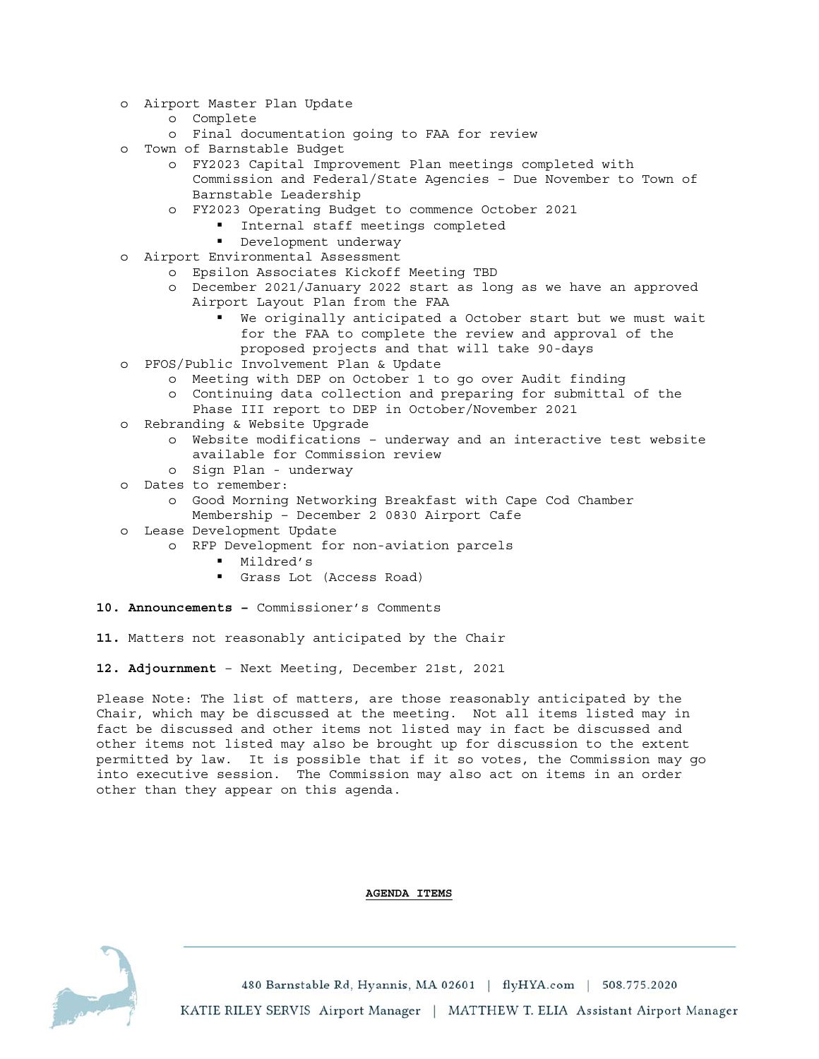- o Airport Master Plan Update
	- o Complete
	- o Final documentation going to FAA for review
- o Town of Barnstable Budget
	- o FY2023 Capital Improvement Plan meetings completed with Commission and Federal/State Agencies – Due November to Town of Barnstable Leadership
	- o FY2023 Operating Budget to commence October 2021
		- Internal staff meetings completed
		- **Development underway**
- o Airport Environmental Assessment
	- o Epsilon Associates Kickoff Meeting TBD
	- o December 2021/January 2022 start as long as we have an approved Airport Layout Plan from the FAA
		- We originally anticipated a October start but we must wait for the FAA to complete the review and approval of the proposed projects and that will take 90-days
- o PFOS/Public Involvement Plan & Update
	- o Meeting with DEP on October 1 to go over Audit finding
	- o Continuing data collection and preparing for submittal of the Phase III report to DEP in October/November 2021
- o Rebranding & Website Upgrade
	- o Website modifications underway and an interactive test website available for Commission review
	- o Sign Plan underway
- o Dates to remember:
	- o Good Morning Networking Breakfast with Cape Cod Chamber Membership – December 2 0830 Airport Cafe
- o Lease Development Update
	- o RFP Development for non-aviation parcels
		- Mildred's
		- Grass Lot (Access Road)
- **10. Announcements** Commissioner's Comments
- **11.** Matters not reasonably anticipated by the Chair
- **12. Adjournment** Next Meeting, December 21st, 2021

Please Note: The list of matters, are those reasonably anticipated by the Chair, which may be discussed at the meeting. Not all items listed may in fact be discussed and other items not listed may in fact be discussed and other items not listed may also be brought up for discussion to the extent permitted by law. It is possible that if it so votes, the Commission may go into executive session. The Commission may also act on items in an order other than they appear on this agenda.

### **AGENDA ITEMS**

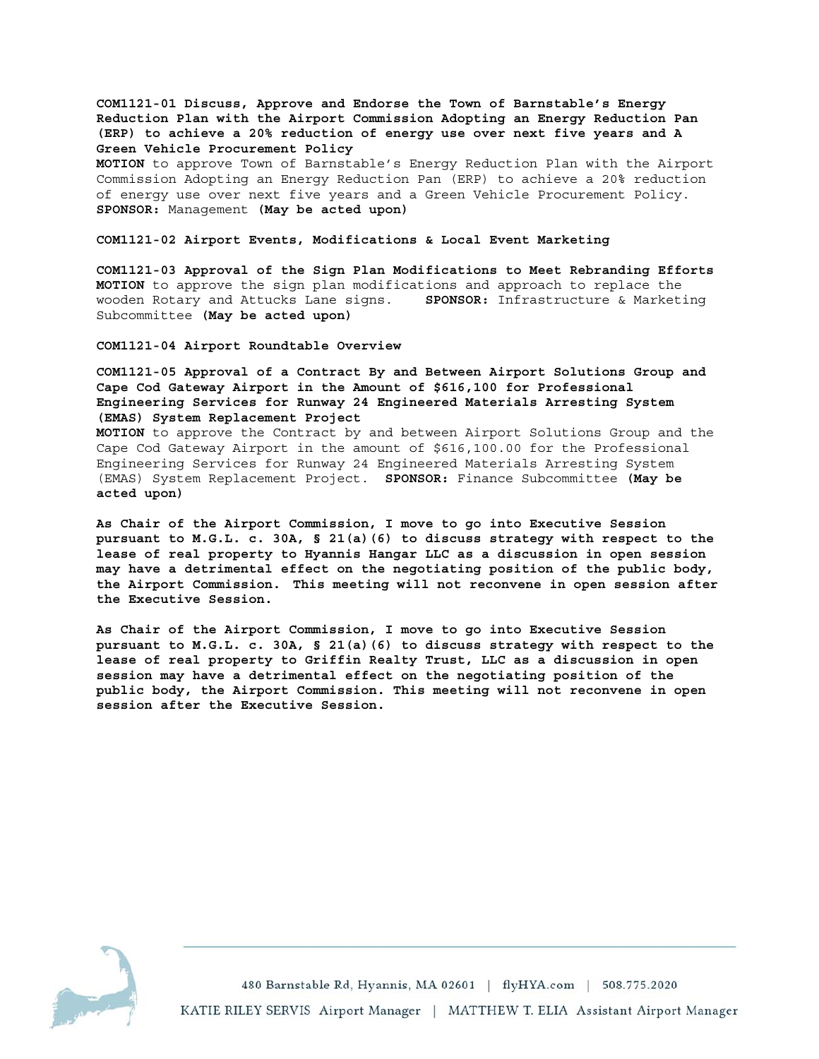**COM1121-01 Discuss, Approve and Endorse the Town of Barnstable's Energy Reduction Plan with the Airport Commission Adopting an Energy Reduction Pan (ERP) to achieve a 20% reduction of energy use over next five years and A Green Vehicle Procurement Policy** 

**MOTION** to approve Town of Barnstable's Energy Reduction Plan with the Airport Commission Adopting an Energy Reduction Pan (ERP) to achieve a 20% reduction of energy use over next five years and a Green Vehicle Procurement Policy. **SPONSOR:** Management **(May be acted upon)** 

### **COM1121-02 Airport Events, Modifications & Local Event Marketing**

**COM1121-03 Approval of the Sign Plan Modifications to Meet Rebranding Efforts MOTION** to approve the sign plan modifications and approach to replace the wooden Rotary and Attucks Lane signs. **SPONSOR:** Infrastructure & Marketing Subcommittee **(May be acted upon)** 

**COM1121-04 Airport Roundtable Overview** 

**COM1121-05 Approval of a Contract By and Between Airport Solutions Group and Cape Cod Gateway Airport in the Amount of \$616,100 for Professional Engineering Services for Runway 24 Engineered Materials Arresting System (EMAS) System Replacement Project** 

**MOTION** to approve the Contract by and between Airport Solutions Group and the Cape Cod Gateway Airport in the amount of \$616,100.00 for the Professional Engineering Services for Runway 24 Engineered Materials Arresting System (EMAS) System Replacement Project. **SPONSOR:** Finance Subcommittee **(May be acted upon)** 

**As Chair of the Airport Commission, I move to go into Executive Session pursuant to M.G.L. c. 30A, § 21(a)(6) to discuss strategy with respect to the lease of real property to Hyannis Hangar LLC as a discussion in open session may have a detrimental effect on the negotiating position of the public body, the Airport Commission. This meeting will not reconvene in open session after the Executive Session.** 

**As Chair of the Airport Commission, I move to go into Executive Session pursuant to M.G.L. c. 30A, § 21(a)(6) to discuss strategy with respect to the lease of real property to Griffin Realty Trust, LLC as a discussion in open session may have a detrimental effect on the negotiating position of the public body, the Airport Commission. This meeting will not reconvene in open session after the Executive Session.**